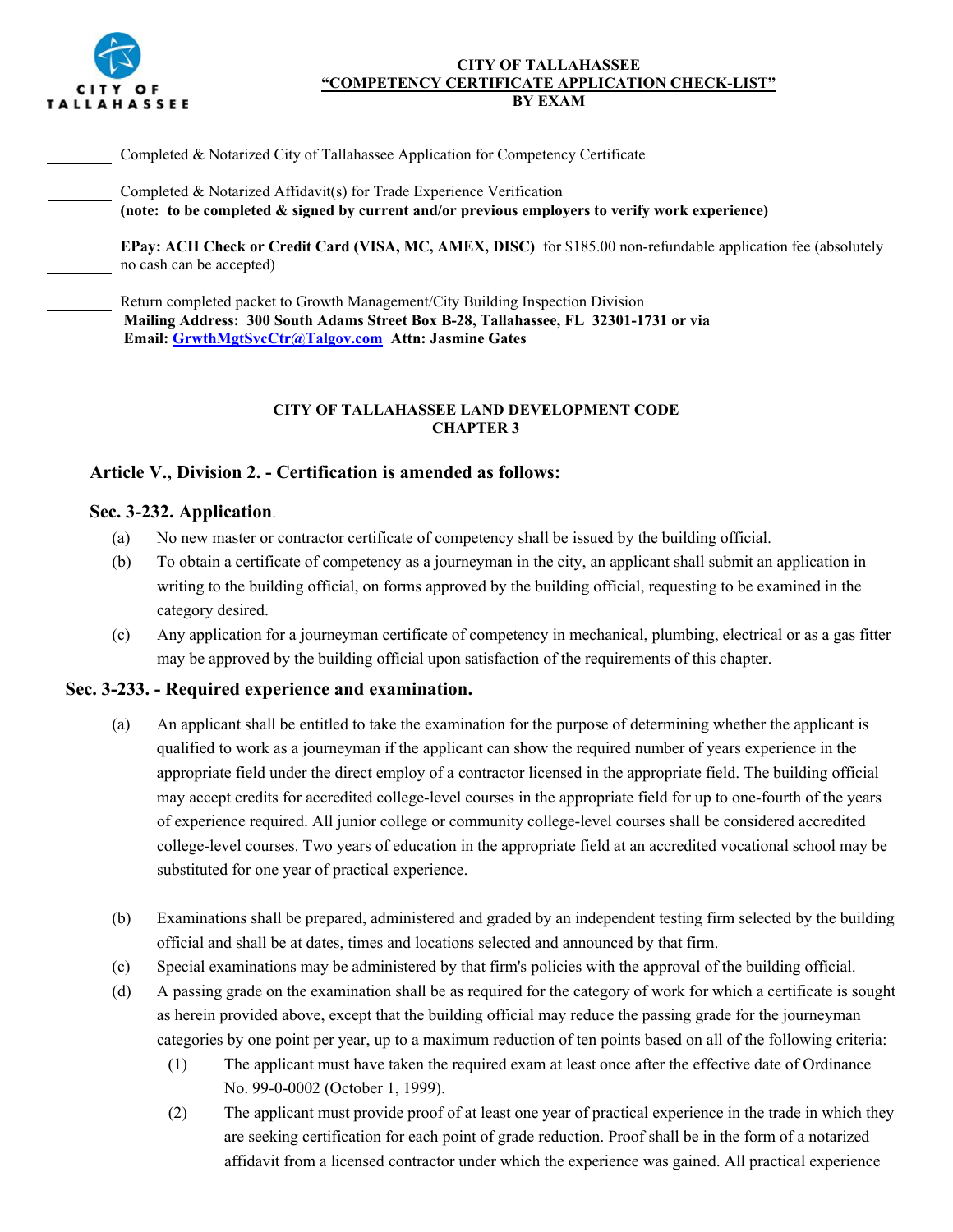

### **CITY OF TALLAHASSEE "COMPETENCY CERTIFICATE APPLICATION CHECK-LIST" BY EXAM**

Completed & Notarized City of Tallahassee Application for Competency Certificate

Completed & Notarized Affidavit(s) for Trade Experience Verification **(note: to be completed & signed by current and/or previous employers to verify work experience)**

**EPay: ACH Check or Credit Card (VISA, MC, AMEX, DISC)** for \$185.00 non-refundable application fee (absolutely no cash can be accepted)

Return completed packet to Growth Management/City Building Inspection Division **Mailing Address: 300 South Adams Street Box B-28, Tallahassee, FL 32301-1731 or via Email: [GrwthMgtSvcCtr@Talgov.com](mailto:GrwthMgtSvcCtr@Talgov.com) Attn: Jasmine Gates** 

## **CITY OF TALLAHASSEE LAND DEVELOPMENT CODE CHAPTER 3**

# **[Article V.,](http://library.municode.com/HTML/19980/level3/LADECO_CH3BUBURE_ARTVCOIN.html) [Division 2. - Certification](http://library.municode.com/HTML/19980/level4/LADECO_CH3BUBURE_ARTVCOIN_DIV2CE.html) is amended as follows:**

## **Sec. 3-232. Application**.

- (a) No new master or contractor certificate of competency shall be issued by the building official.
- (b) To obtain a certificate of competency as a journeyman in the city, an applicant shall submit an application in writing to the building official, on forms approved by the building official, requesting to be examined in the category desired.
- (c) Any application for a journeyman certificate of competency in mechanical, plumbing, electrical or as a gas fitter may be approved by the building official upon satisfaction of the requirements of this chapter.

# **Sec. 3-233. - Required experience and examination.**

- (a) An applicant shall be entitled to take the examination for the purpose of determining whether the applicant is qualified to work as a journeyman if the applicant can show the required number of years experience in the appropriate field under the direct employ of a contractor licensed in the appropriate field. The building official may accept credits for accredited college-level courses in the appropriate field for up to one-fourth of the years of experience required. All junior college or community college-level courses shall be considered accredited college-level courses. Two years of education in the appropriate field at an accredited vocational school may be substituted for one year of practical experience.
- (b) Examinations shall be prepared, administered and graded by an independent testing firm selected by the building official and shall be at dates, times and locations selected and announced by that firm.
- (c) Special examinations may be administered by that firm's policies with the approval of the building official.
- (d) A passing grade on the examination shall be as required for the category of work for which a certificate is sought as herein provided above, except that the building official may reduce the passing grade for the journeyman categories by one point per year, up to a maximum reduction of ten points based on all of the following criteria:
	- (1) The applicant must have taken the required exam at least once after the effective date of Ordinance No. 99-0-0002 (October 1, 1999).
	- (2) The applicant must provide proof of at least one year of practical experience in the trade in which they are seeking certification for each point of grade reduction. Proof shall be in the form of a notarized affidavit from a licensed contractor under which the experience was gained. All practical experience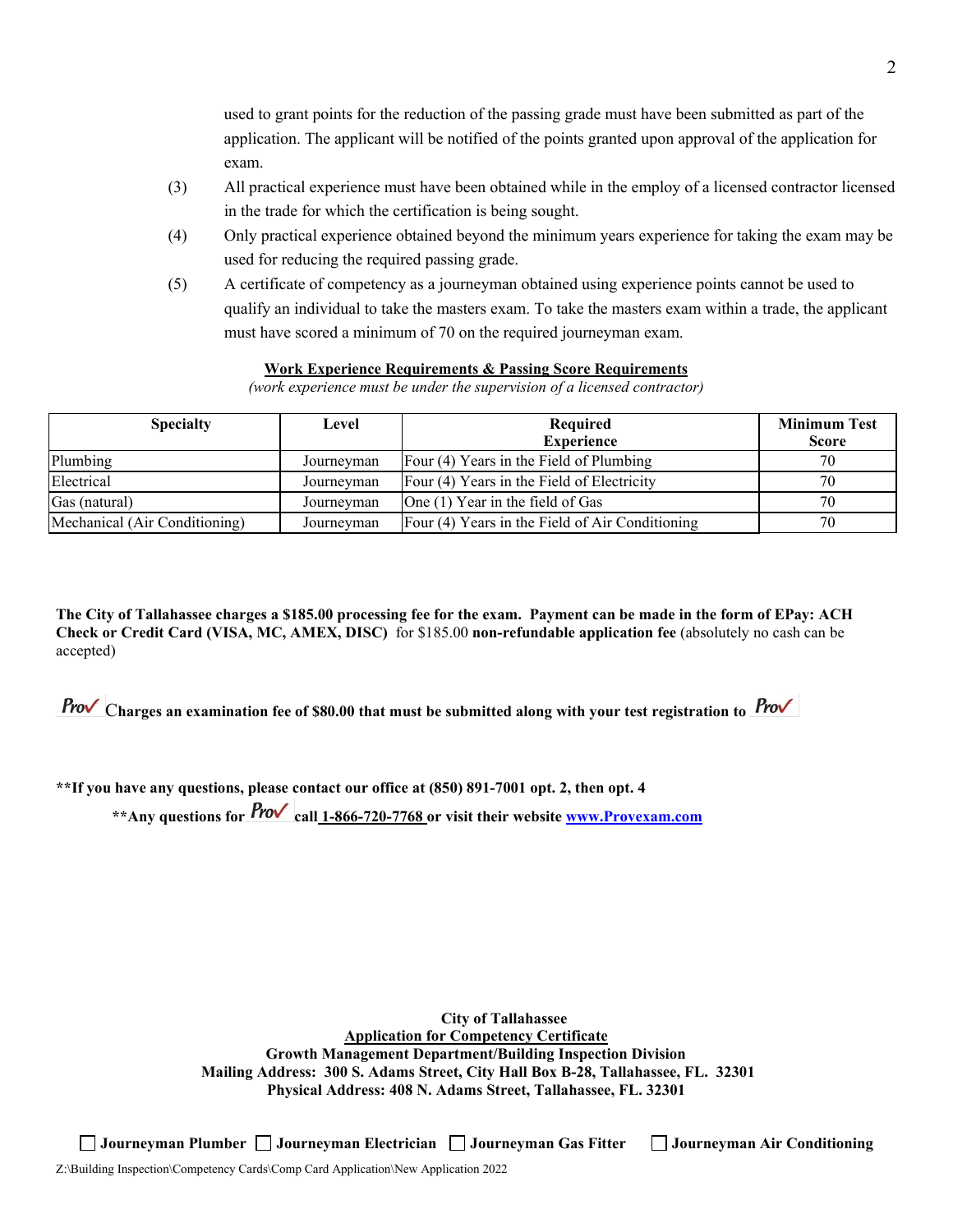used to grant points for the reduction of the passing grade must have been submitted as part of the application. The applicant will be notified of the points granted upon approval of the application for exam.

- (3) All practical experience must have been obtained while in the employ of a licensed contractor licensed in the trade for which the certification is being sought.
- (4) Only practical experience obtained beyond the minimum years experience for taking the exam may be used for reducing the required passing grade.
- (5) A certificate of competency as a journeyman obtained using experience points cannot be used to qualify an individual to take the masters exam. To take the masters exam within a trade, the applicant must have scored a minimum of 70 on the required journeyman exam.

## **Work Experience Requirements & Passing Score Requirements**

*(work experience must be under the supervision of a licensed contractor)*

| <b>Specialty</b>              | Level      | Required                                        | <b>Minimum Test</b> |
|-------------------------------|------------|-------------------------------------------------|---------------------|
|                               |            | <b>Experience</b>                               | <b>Score</b>        |
| Plumbing                      | Journeyman | Four (4) Years in the Field of Plumbing         | 70                  |
| Electrical                    | Journeyman | Four (4) Years in the Field of Electricity      | 70                  |
| Gas (natural)                 | Journeyman | One $(1)$ Year in the field of Gas              | 70                  |
| Mechanical (Air Conditioning) | Journeyman | Four (4) Years in the Field of Air Conditioning | 70                  |

**The City of Tallahassee charges a \$185.00 processing fee for the exam. Payment can be made in the form of EPay: ACH Check or Credit Card (VISA, MC, AMEX, DISC)** for \$185.00 **non-refundable application fee** (absolutely no cash can be accepted)

C**harges an examination fee of \$80.00 that must be submitted along with your test registration to** 

**\*\*If you have any questions, please contact our office at (850) 891-7001 opt. 2, then opt. 4**

**\*\*Any questions for call 1-866-720-7768 or visit their website [www.Provexam.com](http://www.provexam.com/)**

**City of Tallahassee Application for Competency Certificate Growth Management Department/Building Inspection Division Mailing Address: 300 S. Adams Street, City Hall Box B-28, Tallahassee, FL. 32301 Physical Address: 408 N. Adams Street, Tallahassee, FL. 32301**

**Journeyman Plumber Journeyman Electrician Journeyman Gas Fitter Journeyman Air Conditioning**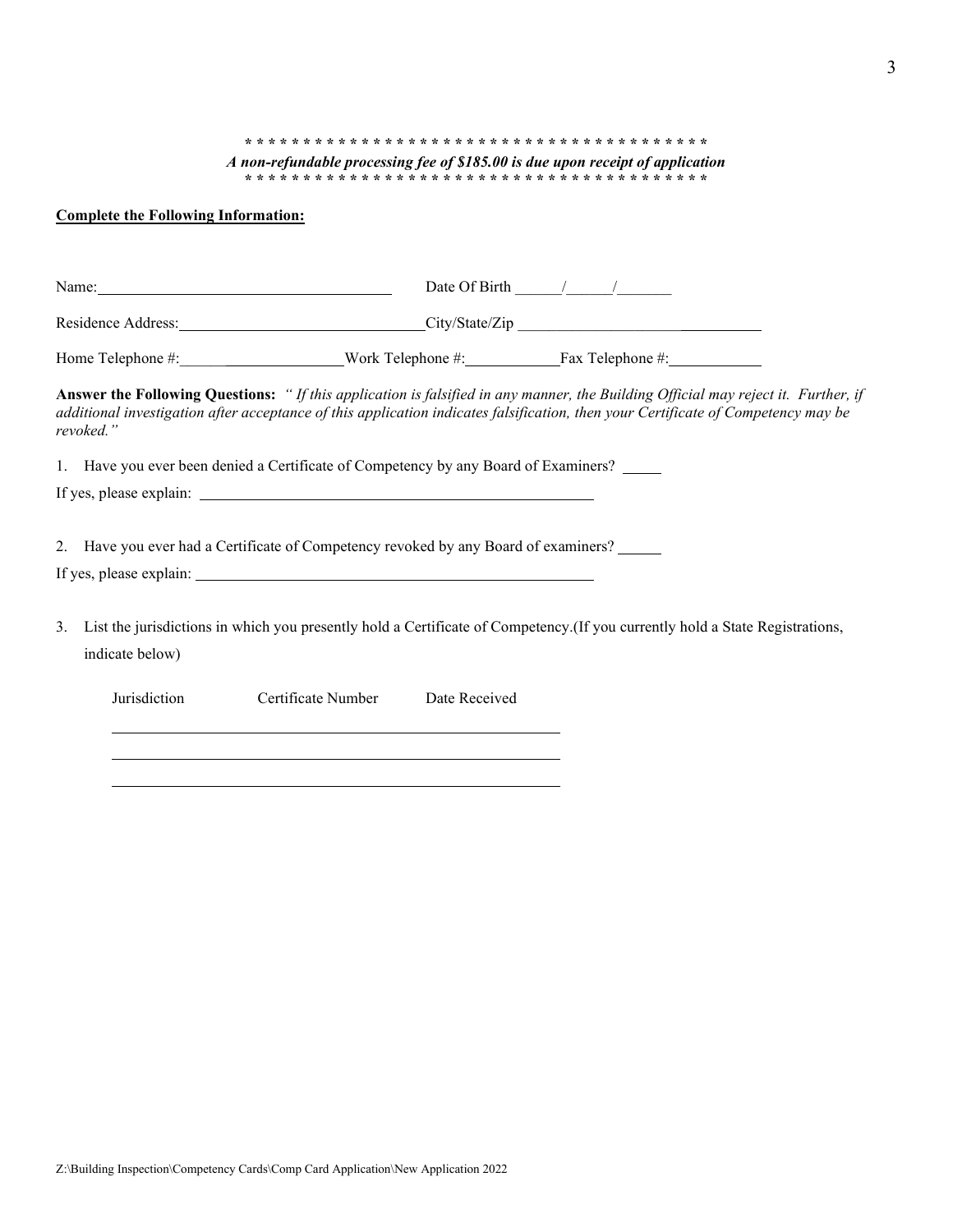#### **\* \* \* \* \* \* \* \* \* \* \* \* \* \* \* \* \* \* \* \* \* \* \* \* \* \* \* \* \* \* \* \* \* \* \* \* \* \* \* \***  *A non-refundable processing fee of \$185.00 is due upon receipt of application* **\* \* \* \* \* \* \* \* \* \* \* \* \* \* \* \* \* \* \* \* \* \* \* \* \* \* \* \* \* \* \* \* \* \* \* \* \* \* \* \***

### **Complete the Following Information:**

| Name:                                                                               |               | Date Of Birth $\frac{1}{\sqrt{2\pi}}$                                                                                                                                                                                                                                  |
|-------------------------------------------------------------------------------------|---------------|------------------------------------------------------------------------------------------------------------------------------------------------------------------------------------------------------------------------------------------------------------------------|
| Residence Address: City/State/Zip                                                   |               |                                                                                                                                                                                                                                                                        |
|                                                                                     |               |                                                                                                                                                                                                                                                                        |
| revoked."                                                                           |               | Answer the Following Questions: "If this application is falsified in any manner, the Building Official may reject it. Further, if<br>additional investigation after acceptance of this application indicates falsification, then your Certificate of Competency may be |
| 1. Have you ever been denied a Certificate of Competency by any Board of Examiners? |               |                                                                                                                                                                                                                                                                        |
|                                                                                     |               |                                                                                                                                                                                                                                                                        |
| 2. Have you ever had a Certificate of Competency revoked by any Board of examiners? |               |                                                                                                                                                                                                                                                                        |
| 3.<br>indicate below)                                                               |               | List the jurisdictions in which you presently hold a Certificate of Competency. (If you currently hold a State Registrations,                                                                                                                                          |
| Jurisdiction<br>Certificate Number                                                  | Date Received |                                                                                                                                                                                                                                                                        |
|                                                                                     |               |                                                                                                                                                                                                                                                                        |
|                                                                                     |               |                                                                                                                                                                                                                                                                        |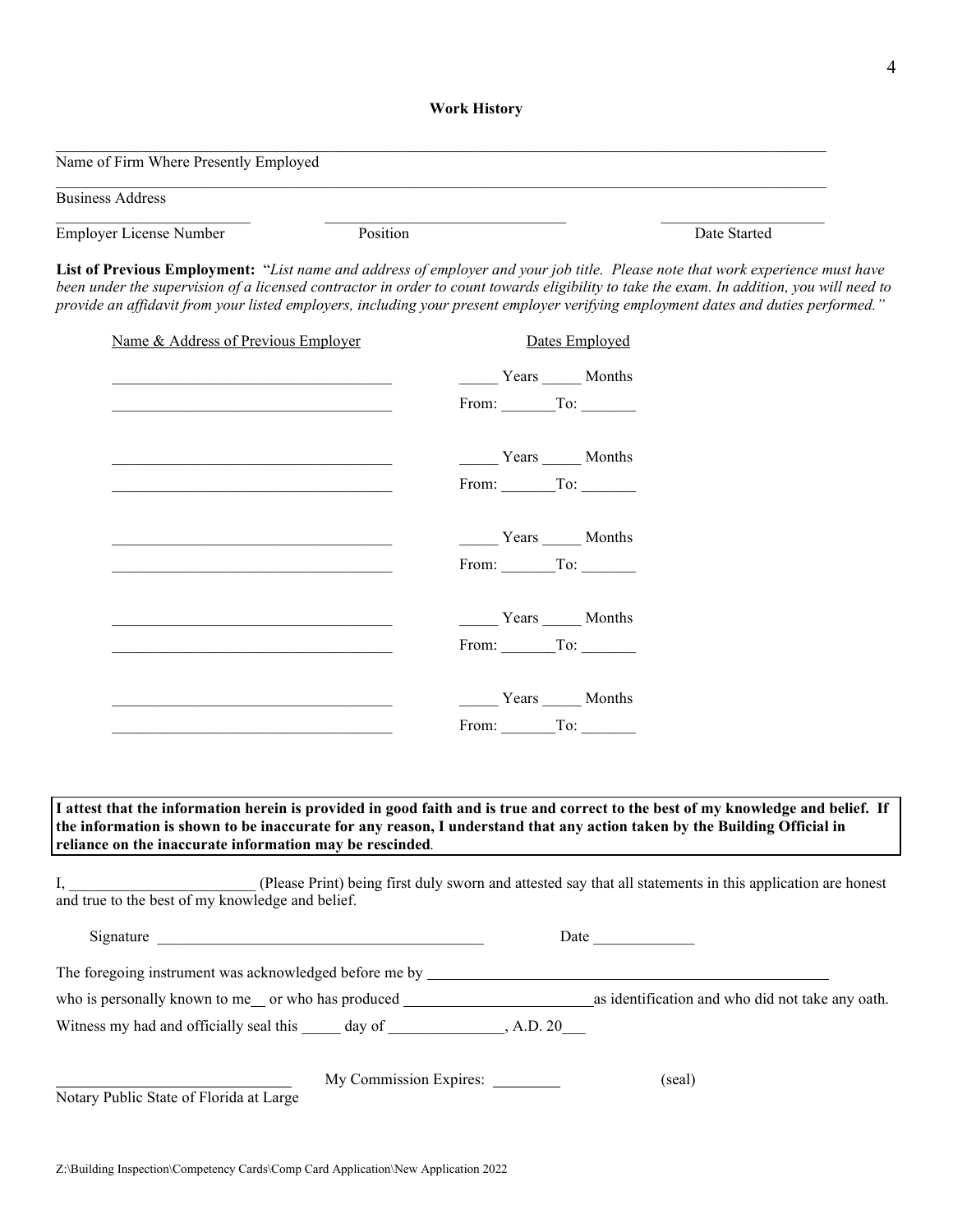#### **Work History**

| Name of Firm Where Presently Employed |          |              |
|---------------------------------------|----------|--------------|
|                                       |          |              |
| <b>Business Address</b>               |          |              |
|                                       |          |              |
| Employer License Number               | Position | Date Started |

**List of Previous Employment:** "*List name and address of employer and your job title. Please note that work experience must have been under the supervision of a licensed contractor in order to count towards eligibility to take the exam. In addition, you will need to provide an affidavit from your listed employers, including your present employer verifying employment dates and duties performed."*

|                                                                                                                                                                                                                                                                                                                                                                                                                                        |                                                                                              | Dates Employed |  |
|----------------------------------------------------------------------------------------------------------------------------------------------------------------------------------------------------------------------------------------------------------------------------------------------------------------------------------------------------------------------------------------------------------------------------------------|----------------------------------------------------------------------------------------------|----------------|--|
|                                                                                                                                                                                                                                                                                                                                                                                                                                        | Years Months                                                                                 |                |  |
|                                                                                                                                                                                                                                                                                                                                                                                                                                        | From: $\begin{array}{c} \begin{array}{c} \text{Toc.} \\ \text{Toc.} \end{array} \end{array}$ |                |  |
|                                                                                                                                                                                                                                                                                                                                                                                                                                        | Years _______ Months                                                                         |                |  |
|                                                                                                                                                                                                                                                                                                                                                                                                                                        | From: $\begin{array}{c} \begin{array}{c} \text{Toc} \\ \text{or} \end{array} \end{array}$    |                |  |
|                                                                                                                                                                                                                                                                                                                                                                                                                                        | Years Months                                                                                 |                |  |
|                                                                                                                                                                                                                                                                                                                                                                                                                                        | From: $\begin{array}{c} \begin{array}{c} \text{Toc} \\ \text{or} \end{array} \end{array}$    |                |  |
|                                                                                                                                                                                                                                                                                                                                                                                                                                        | Years _______ Months                                                                         |                |  |
|                                                                                                                                                                                                                                                                                                                                                                                                                                        | From: $\begin{array}{c} \begin{array}{c} \text{Toc} \\ \text{or} \end{array} \end{array}$    |                |  |
|                                                                                                                                                                                                                                                                                                                                                                                                                                        | Years ______ Months                                                                          |                |  |
|                                                                                                                                                                                                                                                                                                                                                                                                                                        | From: To:                                                                                    |                |  |
|                                                                                                                                                                                                                                                                                                                                                                                                                                        |                                                                                              |                |  |
| I attest that the information herein is provided in good faith and is true and correct to the best of my knowledge and belief. If<br>the information is shown to be inaccurate for any reason, I understand that any action taken by the Building Official in<br>reliance on the inaccurate information may be rescinded.<br>(Please Print) being first duly sworn and attested say that all statements in this application are honest |                                                                                              |                |  |
| and true to the best of my knowledge and belief.                                                                                                                                                                                                                                                                                                                                                                                       |                                                                                              |                |  |
|                                                                                                                                                                                                                                                                                                                                                                                                                                        |                                                                                              |                |  |
| The foregoing instrument was acknowledged before me by _________________________                                                                                                                                                                                                                                                                                                                                                       |                                                                                              |                |  |
|                                                                                                                                                                                                                                                                                                                                                                                                                                        |                                                                                              |                |  |
| Witness my had and officially seal this day of the state of the A.D. 20                                                                                                                                                                                                                                                                                                                                                                |                                                                                              |                |  |
| Notary Public State of Florida at Large                                                                                                                                                                                                                                                                                                                                                                                                | My Commission Expires: _________                                                             | (seal)         |  |